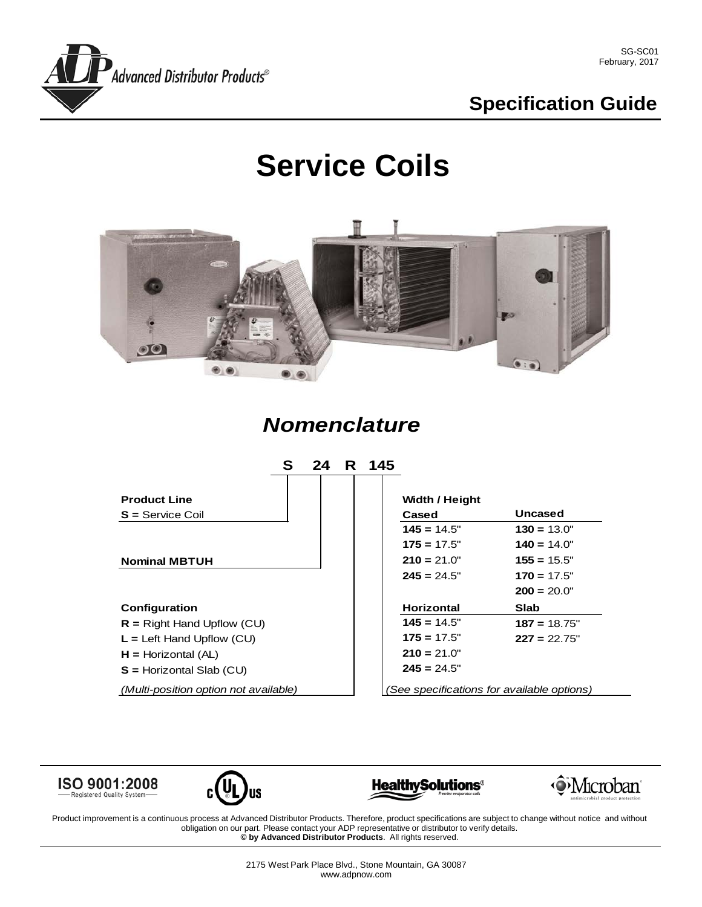

# **Specification Guide**

# **Service Coils**



### *Nomenclature*



ISO 9001:2008

Registered Quality System







Product improvement is a continuous process at Advanced Distributor Products. Therefore, product specifications are subject to change without notice and without obligation on our part. Please contact your ADP representative or distributor to verify details. **© by Advanced Distributor Products**. All rights reserved.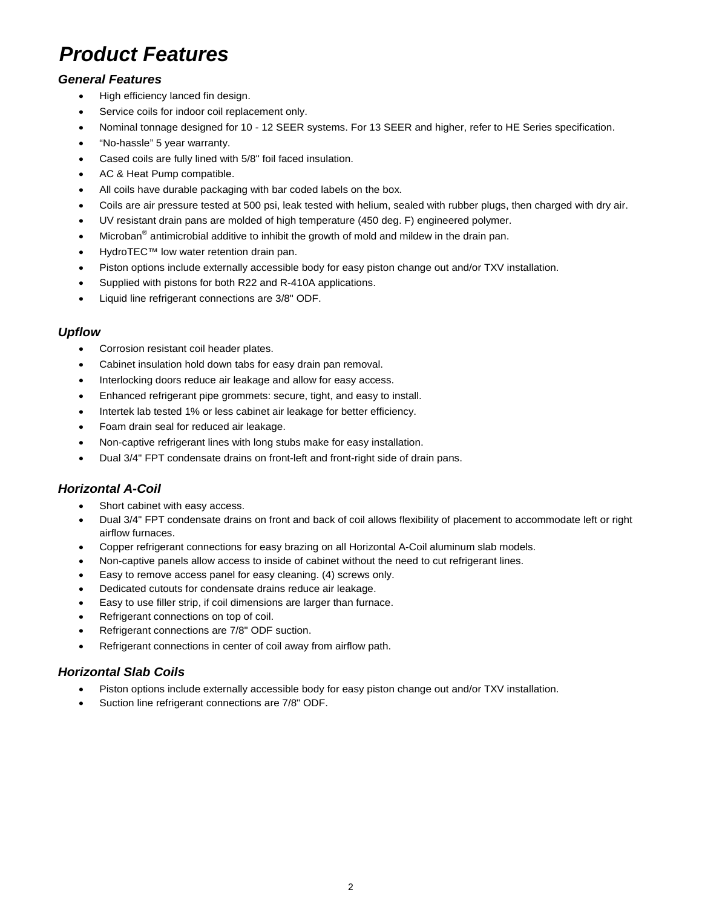# *Product Features*

#### *General Features*

- High efficiency lanced fin design.
- Service coils for indoor coil replacement only.
- Nominal tonnage designed for 10 12 SEER systems. For 13 SEER and higher, refer to HE Series specification.
- "No-hassle" 5 year warranty.
- Cased coils are fully lined with 5/8" foil faced insulation.
- AC & Heat Pump compatible.
- All coils have durable packaging with bar coded labels on the box.
- Coils are air pressure tested at 500 psi, leak tested with helium, sealed with rubber plugs, then charged with dry air.
- UV resistant drain pans are molded of high temperature (450 deg. F) engineered polymer.
- Microban<sup>®</sup> antimicrobial additive to inhibit the growth of mold and mildew in the drain pan.
- HydroTEC™ low water retention drain pan.
- Piston options include externally accessible body for easy piston change out and/or TXV installation.
- Supplied with pistons for both R22 and R-410A applications.
- Liquid line refrigerant connections are 3/8" ODF.

#### *Upflow*

- Corrosion resistant coil header plates.
- Cabinet insulation hold down tabs for easy drain pan removal.
- Interlocking doors reduce air leakage and allow for easy access.
- Enhanced refrigerant pipe grommets: secure, tight, and easy to install.
- Intertek lab tested 1% or less cabinet air leakage for better efficiency.
- Foam drain seal for reduced air leakage.
- Non-captive refrigerant lines with long stubs make for easy installation.
- Dual 3/4" FPT condensate drains on front-left and front-right side of drain pans.

#### *Horizontal A-Coil*

- Short cabinet with easy access.
- Dual 3/4" FPT condensate drains on front and back of coil allows flexibility of placement to accommodate left or right airflow furnaces.
- Copper refrigerant connections for easy brazing on all Horizontal A-Coil aluminum slab models.
- Non-captive panels allow access to inside of cabinet without the need to cut refrigerant lines.
- Easy to remove access panel for easy cleaning. (4) screws only.
- Dedicated cutouts for condensate drains reduce air leakage.
- Easy to use filler strip, if coil dimensions are larger than furnace.
- Refrigerant connections on top of coil.
- Refrigerant connections are 7/8" ODF suction.
- Refrigerant connections in center of coil away from airflow path.

#### *Horizontal Slab Coils*

- Piston options include externally accessible body for easy piston change out and/or TXV installation.
- Suction line refrigerant connections are 7/8" ODF.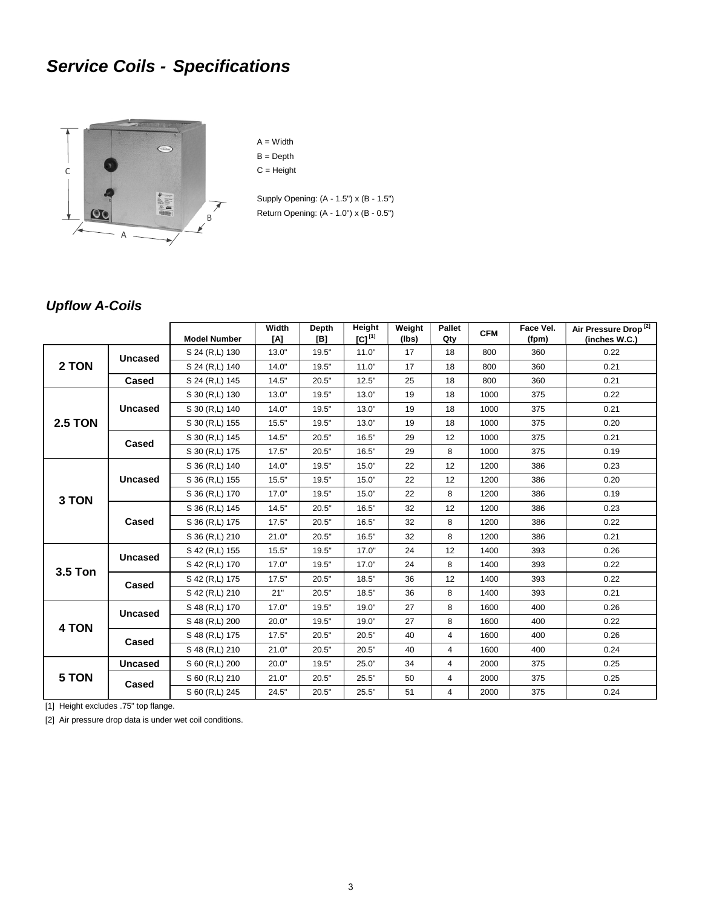# *Service Coils - Specifications*



 $A = Width$ B = Depth  $C = Height$ 

Supply Opening: (A - 1.5") x (B - 1.5") Return Opening: (A - 1.0") x (B - 0.5")

#### *Upflow A-Coils*

|                |                | <b>Model Number</b> | Width<br>[A] | Depth<br>[B] | Height<br>$[C]^{[1]}$ | Weight<br>(lbs) | Pallet<br>Qty  | <b>CFM</b> | Face Vel.<br>(fpm) | Air Pressure Drop <sup>[2]</sup><br>(inches W.C.) |
|----------------|----------------|---------------------|--------------|--------------|-----------------------|-----------------|----------------|------------|--------------------|---------------------------------------------------|
| 2 TON          | <b>Uncased</b> | S 24 (R,L) 130      | 13.0"        | 19.5"        | 11.0"                 | 17              | 18             | 800        | 360                | 0.22                                              |
|                |                | S 24 (R,L) 140      | 14.0"        | 19.5"        | 11.0"                 | 17              | 18             | 800        | 360                | 0.21                                              |
|                | Cased          | S 24 (R,L) 145      | 14.5"        | 20.5"        | 12.5"                 | 25              | 18             | 800        | 360                | 0.21                                              |
|                | <b>Uncased</b> | S 30 (R,L) 130      | 13.0"        | 19.5"        | 13.0"                 | 19              | 18             | 1000       | 375                | 0.22                                              |
|                |                | S 30 (R,L) 140      | 14.0"        | 19.5"        | 13.0"                 | 19              | 18             | 1000       | 375                | 0.21                                              |
| <b>2.5 TON</b> |                | S 30 (R,L) 155      | 15.5"        | 19.5"        | 13.0"                 | 19              | 18             | 1000       | 375                | 0.20                                              |
|                | Cased          | S 30 (R,L) 145      | 14.5"        | 20.5"        | 16.5"                 | 29              | 12             | 1000       | 375                | 0.21                                              |
|                |                | S 30 (R,L) 175      | 17.5"        | 20.5"        | 16.5"                 | 29              | 8              | 1000       | 375                | 0.19                                              |
|                | <b>Uncased</b> | S 36 (R,L) 140      | 14.0"        | 19.5"        | 15.0"                 | 22              | 12             | 1200       | 386                | 0.23                                              |
| 3 TON          |                | S 36 (R,L) 155      | 15.5"        | 19.5"        | 15.0"                 | 22              | 12             | 1200       | 386                | 0.20                                              |
|                |                | S 36 (R,L) 170      | 17.0"        | 19.5"        | 15.0"                 | 22              | 8              | 1200       | 386                | 0.19                                              |
|                | Cased          | S 36 (R,L) 145      | 14.5"        | 20.5"        | 16.5"                 | 32              | 12             | 1200       | 386                | 0.23                                              |
|                |                | S 36 (R,L) 175      | 17.5"        | 20.5"        | 16.5"                 | 32              | 8              | 1200       | 386                | 0.22                                              |
|                |                | S 36 (R,L) 210      | 21.0"        | 20.5"        | 16.5"                 | 32              | 8              | 1200       | 386                | 0.21                                              |
| 3.5 Ton        | <b>Uncased</b> | S 42 (R,L) 155      | 15.5"        | 19.5"        | 17.0"                 | 24              | 12             | 1400       | 393                | 0.26                                              |
|                |                | S 42 (R,L) 170      | 17.0"        | 19.5"        | 17.0"                 | 24              | 8              | 1400       | 393                | 0.22                                              |
|                | Cased          | S 42 (R,L) 175      | 17.5"        | 20.5"        | 18.5"                 | 36              | 12             | 1400       | 393                | 0.22                                              |
|                |                | S 42 (R,L) 210      | 21"          | 20.5"        | 18.5"                 | 36              | 8              | 1400       | 393                | 0.21                                              |
|                | <b>Uncased</b> | S 48 (R,L) 170      | 17.0"        | 19.5"        | 19.0"                 | 27              | 8              | 1600       | 400                | 0.26                                              |
| 4 TON          |                | S 48 (R,L) 200      | 20.0"        | 19.5"        | 19.0"                 | 27              | 8              | 1600       | 400                | 0.22                                              |
|                | Cased          | S 48 (R,L) 175      | 17.5"        | 20.5"        | 20.5"                 | 40              | 4              | 1600       | 400                | 0.26                                              |
|                |                | S 48 (R,L) 210      | 21.0"        | 20.5"        | 20.5"                 | 40              | 4              | 1600       | 400                | 0.24                                              |
|                | <b>Uncased</b> | S 60 (R,L) 200      | 20.0"        | 19.5"        | 25.0"                 | 34              | 4              | 2000       | 375                | 0.25                                              |
| 5 TON          | Cased          | S 60 (R,L) 210      | 21.0"        | 20.5"        | 25.5"                 | 50              | 4              | 2000       | 375                | 0.25                                              |
|                |                | S 60 (R,L) 245      | 24.5"        | 20.5"        | 25.5"                 | 51              | $\overline{4}$ | 2000       | 375                | 0.24                                              |

[1] Height excludes .75" top flange.

[2] Air pressure drop data is under wet coil conditions.